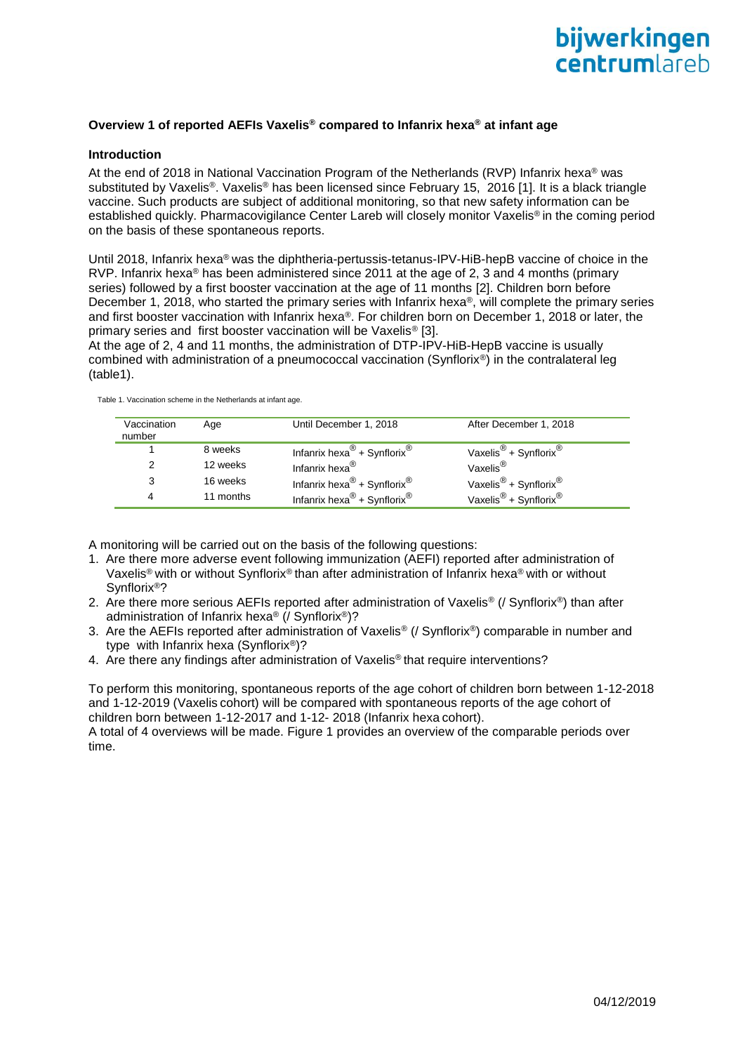

### **Overview 1 of reported AEFIs Vaxelis® compared to Infanrix hexa® at infant age**

#### **Introduction**

At the end of 2018 in National Vaccination Program of the Netherlands (RVP) Infanrix hexa<sup>®</sup> was substituted by Vaxelis®. Vaxelis® has been licensed since February 15, 2016 [1]. It is a black triangle vaccine. Such products are subject of additional monitoring, so that new safety information can be established quickly. Pharmacovigilance Center Lareb will closely monitor Vaxelis® in the coming period on the basis of these spontaneous reports.

Until 2018, Infanrix hexa<sup>®</sup> was the diphtheria-pertussis-tetanus-IPV-HiB-hepB vaccine of choice in the RVP. Infanrix hexa® has been administered since 2011 at the age of 2, 3 and 4 months (primary series) followed by a first booster vaccination at the age of 11 months [2]. Children born before December 1, 2018, who started the primary series with Infanrix hexa®, will complete the primary series and first booster vaccination with Infanrix hexa®. For children born on December 1, 2018 or later, the primary series and first booster vaccination will be Vaxelis® [3].

At the age of 2, 4 and 11 months, the administration of DTP-IPV-HiB-HepB vaccine is usually combined with administration of a pneumococcal vaccination (Synflorix®) in the contralateral leg (table1).

| Vaccination<br>number | Age       | Until December 1, 2018                              | After December 1, 2018                        |
|-----------------------|-----------|-----------------------------------------------------|-----------------------------------------------|
|                       | 8 weeks   | Infanrix hexa <sup>®</sup> + Synflorix <sup>®</sup> | Vaxelis <sup>®</sup> + Synflorix <sup>®</sup> |
|                       | 12 weeks  | Infanrix hexa $^{\circledR}$                        | Vaxelis <sup>®</sup>                          |
| 3                     | 16 weeks  | Infanrix hexa <sup>®</sup> + Synflorix <sup>®</sup> | Vaxelis <sup>®</sup> + Synflorix <sup>®</sup> |
| 4                     | 11 months | Infanrix hexa <sup>®</sup> + Synflorix <sup>®</sup> | Vaxelis <sup>®</sup> + Synflorix <sup>®</sup> |

Table 1. Vaccination scheme in the Netherlands at infant age.

A monitoring will be carried out on the basis of the following questions:

- 1. Are there more adverse event following immunization (AEFI) reported after administration of Vaxelis® with or without Synflorix® than after administration of Infanrix hexa® with or without Synflorix®?
- 2. Are there more serious AEFIs reported after administration of Vaxelis<sup>®</sup> (/ Synflorix<sup>®</sup>) than after administration of Infanrix hexa® (/ Synflorix®)?
- 3. Are the AEFIs reported after administration of Vaxelis® (/ Synflorix®) comparable in number and type with Infanrix hexa (Synflorix®)?
- 4. Are there any findings after administration of Vaxelis<sup>®</sup> that require interventions?

To perform this monitoring, spontaneous reports of the age cohort of children born between 1-12-2018 and 1-12-2019 (Vaxelis cohort) will be compared with spontaneous reports of the age cohort of children born between 1-12-2017 and 1-12- 2018 (Infanrix hexa cohort).

A total of 4 overviews will be made. Figure 1 provides an overview of the comparable periods over time.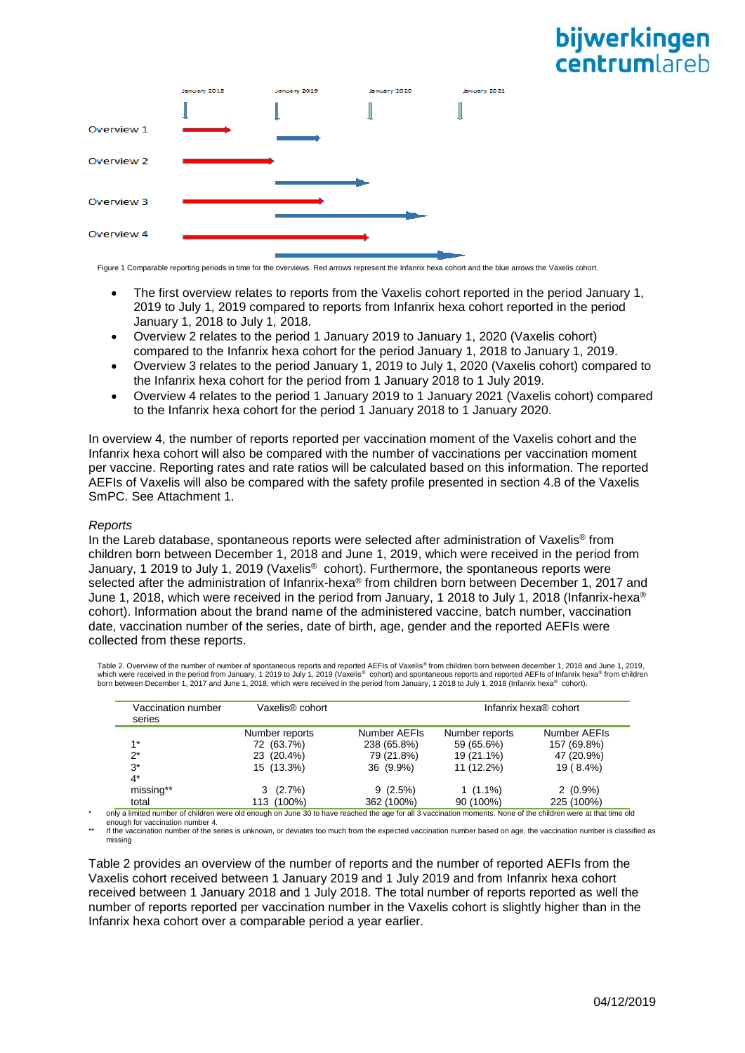# bijwerkingen **centrum** areh



Figure 1 Comparable reporting periods in time for the overviews. Red arrows represent the Infanrix hexa cohort and the blue arrows the Vaxelis cohort.

- The first overview relates to reports from the Vaxelis cohort reported in the period January 1, 2019 to July 1, 2019 compared to reports from Infanrix hexa cohort reported in the period January 1, 2018 to July 1, 2018.
- Overview 2 relates to the period 1 January 2019 to January 1, 2020 (Vaxelis cohort) compared to the Infanrix hexa cohort for the period January 1, 2018 to January 1, 2019.
- Overview 3 relates to the period January 1, 2019 to July 1, 2020 (Vaxelis cohort) compared to the Infanrix hexa cohort for the period from 1 January 2018 to 1 July 2019.
- Overview 4 relates to the period 1 January 2019 to 1 January 2021 (Vaxelis cohort) compared to the Infanrix hexa cohort for the period 1 January 2018 to 1 January 2020.

In overview 4, the number of reports reported per vaccination moment of the Vaxelis cohort and the Infanrix hexa cohort will also be compared with the number of vaccinations per vaccination moment per vaccine. Reporting rates and rate ratios will be calculated based on this information. The reported AEFIs of Vaxelis will also be compared with the safety profile presented in section 4.8 of the Vaxelis SmPC. See Attachment 1.

### *Reports*

In the Lareb database, spontaneous reports were selected after administration of Vaxelis® from children born between December 1, 2018 and June 1, 2019, which were received in the period from January, 1 2019 to July 1, 2019 (Vaxelis<sup>®</sup> cohort). Furthermore, the spontaneous reports were selected after the administration of Infanrix-hexa® from children born between December 1, 2017 and June 1, 2018, which were received in the period from January, 1 2018 to July 1, 2018 (Infanrix-hexa<sup>®</sup> cohort). Information about the brand name of the administered vaccine, batch number, vaccination date, vaccination number of the series, date of birth, age, gender and the reported AEFIs were collected from these reports.

Table 2. Overview of the number of number of spontaneous reports and reported AEFIs of Vaxelis<sup>®</sup> from children born between december 1, 2018 and June 1, 2019,<br>which were received in the period from January, 1 2019 to July born between December 1, 2017 and June 1, 2018, which were received in the period from January, 1 2018 to July 1, 2018 (Infanrix hexa® cohort).

| Vaccination number<br>series | Vaxelis® cohort |              |                | Infanrix hexa® cohort |
|------------------------------|-----------------|--------------|----------------|-----------------------|
|                              | Number reports  | Number AEFIs | Number reports | Number AEFIs          |
| $1*$                         | 72 (63.7%)      | 238 (65.8%)  | 59 (65.6%)     | 157 (69.8%)           |
| $2^*$                        | 23 (20.4%)      | 79 (21.8%)   | 19 (21.1%)     | 47 (20.9%)            |
| $3^*$                        | 15 (13.3%)      | 36 (9.9%)    | 11 (12.2%)     | 19 (8.4%)             |
| $4^*$                        |                 |              |                |                       |
| missing**                    | $3(2.7\%)$      | 9(2.5%)      | $1(1.1\%)$     | $2(0.9\%)$            |
| total                        | 113 (100%)      | 362 (100%)   | 90 (100%)      | 225 (100%)            |

only a limited number of children were old enough on June 30 to have reached the age for all 3 vaccination moments. None of the children were at that time old enough for vaccination number 4.

If the vaccination number of the series is unknown, or deviates too much from the expected vaccination number based on age, the vaccination number is classified as missing

Table 2 provides an overview of the number of reports and the number of reported AEFIs from the Vaxelis cohort received between 1 January 2019 and 1 July 2019 and from Infanrix hexa cohort received between 1 January 2018 and 1 July 2018. The total number of reports reported as well the number of reports reported per vaccination number in the Vaxelis cohort is slightly higher than in the Infanrix hexa cohort over a comparable period a year earlier.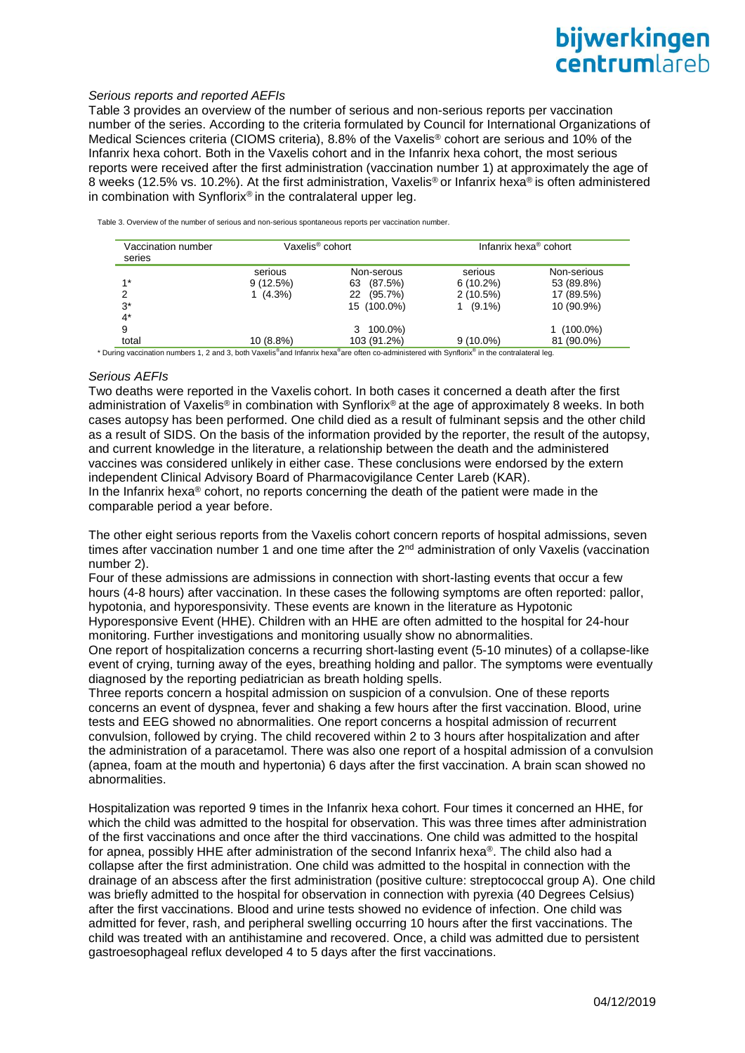## bijwerkingen centrumlareb

#### *Serious reports and reported AEFIs*

Table 3 provides an overview of the number of serious and non-serious reports per vaccination number of the series. According to the criteria formulated by Council for International Organizations of Medical Sciences criteria (CIOMS criteria), 8.8% of the Vaxelis® cohort are serious and 10% of the Infanrix hexa cohort. Both in the Vaxelis cohort and in the Infanrix hexa cohort, the most serious reports were received after the first administration (vaccination number 1) at approximately the age of 8 weeks (12.5% vs. 10.2%). At the first administration, Vaxelis<sup>®</sup> or Infanrix hexa<sup>®</sup> is often administered in combination with Synflorix<sup>®</sup> in the contralateral upper leg.

Table 3. Overview of the number of serious and non-serious spontaneous reports per vaccination number.

| Vaccination number<br>series | Vaxelis® cohort |                  | Infanrix hexa <sup>®</sup> cohort |             |  |
|------------------------------|-----------------|------------------|-----------------------------------|-------------|--|
|                              | serious         | Non-serous       | serious                           | Non-serious |  |
| $1*$                         | 9(12.5%)        | (87.5%)<br>63    | $6(10.2\%)$                       | 53 (89.8%)  |  |
|                              | $1(4.3\%)$      | $(95.7\%)$<br>22 | $2(10.5\%)$                       | 17 (89.5%)  |  |
| $3^*$                        |                 | 15 (100.0%)      | $(9.1\%)$                         | 10 (90.9%)  |  |
| $4^*$                        |                 |                  |                                   |             |  |
| 9                            |                 | 100.0%)<br>3     |                                   | $(100.0\%)$ |  |
| total                        | $10(8.8\%)$     | 103 (91.2%)      | $9(10.0\%)$                       | 81 (90.0%)  |  |

\* During vaccination numbers 1, 2 and 3, both Vaxelis®and Infanrix hexa®are often co-administered with Synflorix® in the contralateral leg.

### *Serious AEFIs*

Two deaths were reported in the Vaxelis cohort. In both cases it concerned a death after the first administration of Vaxelis® in combination with Synflorix® at the age of approximately 8 weeks. In both cases autopsy has been performed. One child died as a result of fulminant sepsis and the other child as a result of SIDS. On the basis of the information provided by the reporter, the result of the autopsy, and current knowledge in the literature, a relationship between the death and the administered vaccines was considered unlikely in either case. These conclusions were endorsed by the extern independent Clinical Advisory Board of Pharmacovigilance Center Lareb (KAR). In the Infanrix hexa® cohort, no reports concerning the death of the patient were made in the comparable period a year before.

The other eight serious reports from the Vaxelis cohort concern reports of hospital admissions, seven times after vaccination number 1 and one time after the  $2<sup>nd</sup>$  administration of only Vaxelis (vaccination number 2).

Four of these admissions are admissions in connection with short-lasting events that occur a few hours (4-8 hours) after vaccination. In these cases the following symptoms are often reported: pallor, hypotonia, and hyporesponsivity. These events are known in the literature as Hypotonic Hyporesponsive Event (HHE). Children with an HHE are often admitted to the hospital for 24-hour monitoring. Further investigations and monitoring usually show no abnormalities.

One report of hospitalization concerns a recurring short-lasting event (5-10 minutes) of a collapse-like event of crying, turning away of the eyes, breathing holding and pallor. The symptoms were eventually diagnosed by the reporting pediatrician as breath holding spells.

Three reports concern a hospital admission on suspicion of a convulsion. One of these reports concerns an event of dyspnea, fever and shaking a few hours after the first vaccination. Blood, urine tests and EEG showed no abnormalities. One report concerns a hospital admission of recurrent convulsion, followed by crying. The child recovered within 2 to 3 hours after hospitalization and after the administration of a paracetamol. There was also one report of a hospital admission of a convulsion (apnea, foam at the mouth and hypertonia) 6 days after the first vaccination. A brain scan showed no abnormalities.

Hospitalization was reported 9 times in the Infanrix hexa cohort. Four times it concerned an HHE, for which the child was admitted to the hospital for observation. This was three times after administration of the first vaccinations and once after the third vaccinations. One child was admitted to the hospital for apnea, possibly HHE after administration of the second Infanrix hexa®. The child also had a collapse after the first administration. One child was admitted to the hospital in connection with the drainage of an abscess after the first administration (positive culture: streptococcal group A). One child was briefly admitted to the hospital for observation in connection with pyrexia (40 Degrees Celsius) after the first vaccinations. Blood and urine tests showed no evidence of infection. One child was admitted for fever, rash, and peripheral swelling occurring 10 hours after the first vaccinations. The child was treated with an antihistamine and recovered. Once, a child was admitted due to persistent gastroesophageal reflux developed 4 to 5 days after the first vaccinations.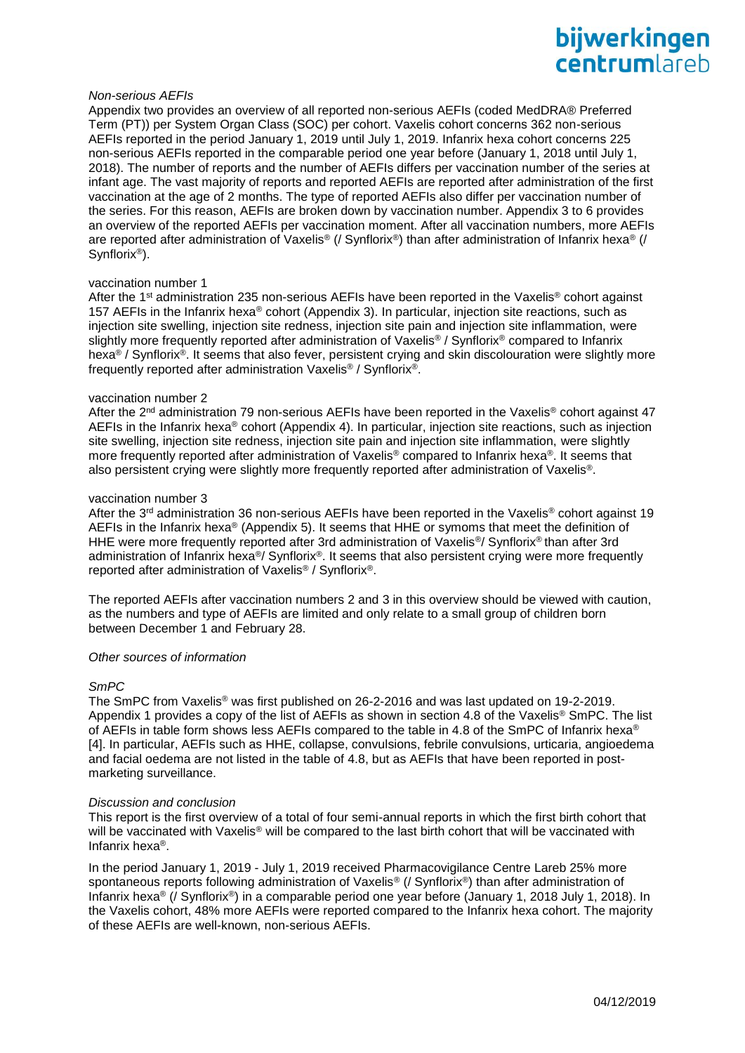## bijwerkingen **Centrum** areh

#### *Non-serious AEFIs*

Appendix two provides an overview of all reported non-serious AEFIs (coded MedDRA® Preferred Term (PT)) per System Organ Class (SOC) per cohort. Vaxelis cohort concerns 362 non-serious AEFIs reported in the period January 1, 2019 until July 1, 2019. Infanrix hexa cohort concerns 225 non-serious AEFIs reported in the comparable period one year before (January 1, 2018 until July 1, 2018). The number of reports and the number of AEFIs differs per vaccination number of the series at infant age. The vast majority of reports and reported AEFIs are reported after administration of the first vaccination at the age of 2 months. The type of reported AEFIs also differ per vaccination number of the series. For this reason, AEFIs are broken down by vaccination number. Appendix 3 to 6 provides an overview of the reported AEFIs per vaccination moment. After all vaccination numbers, more AEFIs are reported after administration of Vaxelis® (/ Synflorix®) than after administration of Infanrix hexa® (/ Synflorix®).

#### vaccination number 1

After the 1<sup>st</sup> administration 235 non-serious AEFIs have been reported in the Vaxelis<sup>®</sup> cohort against 157 AEFIs in the Infanrix hexa® cohort (Appendix 3). In particular, injection site reactions, such as injection site swelling, injection site redness, injection site pain and injection site inflammation, were slightly more frequently reported after administration of Vaxelis® / Synflorix® compared to Infanrix hexa<sup>®</sup> / Synflorix<sup>®</sup>. It seems that also fever, persistent crying and skin discolouration were slightly more frequently reported after administration Vaxelis ® / Synflorix®.

#### vaccination number 2

After the  $2^{nd}$  administration 79 non-serious AEFIs have been reported in the Vaxelis<sup>®</sup> cohort against 47 AEFIs in the Infanrix hexa® cohort (Appendix 4). In particular, injection site reactions, such as injection site swelling, injection site redness, injection site pain and injection site inflammation, were slightly more frequently reported after administration of Vaxelis® compared to Infanrix hexa®. It seems that also persistent crying were slightly more frequently reported after administration of Vaxelis®.

#### vaccination number 3

After the 3<sup>rd</sup> administration 36 non-serious AEFIs have been reported in the Vaxelis® cohort against 19 AEFIs in the Infanrix hexa® (Appendix 5). It seems that HHE or symoms that meet the definition of HHE were more frequently reported after 3rd administration of Vaxelis<sup>®</sup>/ Synflorix<sup>®</sup> than after 3rd administration of Infanrix hexa<sup>®</sup>/ Synflorix<sup>®</sup>. It seems that also persistent crying were more frequently reported after administration of Vaxelis® / Synflorix®.

The reported AEFIs after vaccination numbers 2 and 3 in this overview should be viewed with caution, as the numbers and type of AEFIs are limited and only relate to a small group of children born between December 1 and February 28.

### *Other sources of information*

### *SmPC*

The SmPC from Vaxelis® was first published on 26-2-2016 and was last updated on 19-2-2019. Appendix 1 provides a copy of the list of AEFIs as shown in section 4.8 of the Vaxelis® SmPC. The list of AEFIs in table form shows less AEFIs compared to the table in 4.8 of the SmPC of Infanrix hexa<sup>®</sup> [4]. In particular, AEFIs such as HHE, collapse, convulsions, febrile convulsions, urticaria, angioedema and facial oedema are not listed in the table of 4.8, but as AEFIs that have been reported in postmarketing surveillance.

#### *Discussion and conclusion*

This report is the first overview of a total of four semi-annual reports in which the first birth cohort that will be vaccinated with Vaxelis<sup>®</sup> will be compared to the last birth cohort that will be vaccinated with Infanrix hexa®.

In the period January 1, 2019 - July 1, 2019 received Pharmacovigilance Centre Lareb 25% more spontaneous reports following administration of Vaxelis<sup>®</sup> (/ Synflorix<sup>®</sup>) than after administration of Infanrix hexa® (/ Synflorix®) in a comparable period one year before (January 1, 2018 July 1, 2018). In the Vaxelis cohort, 48% more AEFIs were reported compared to the Infanrix hexa cohort. The majority of these AEFIs are well-known, non-serious AEFIs.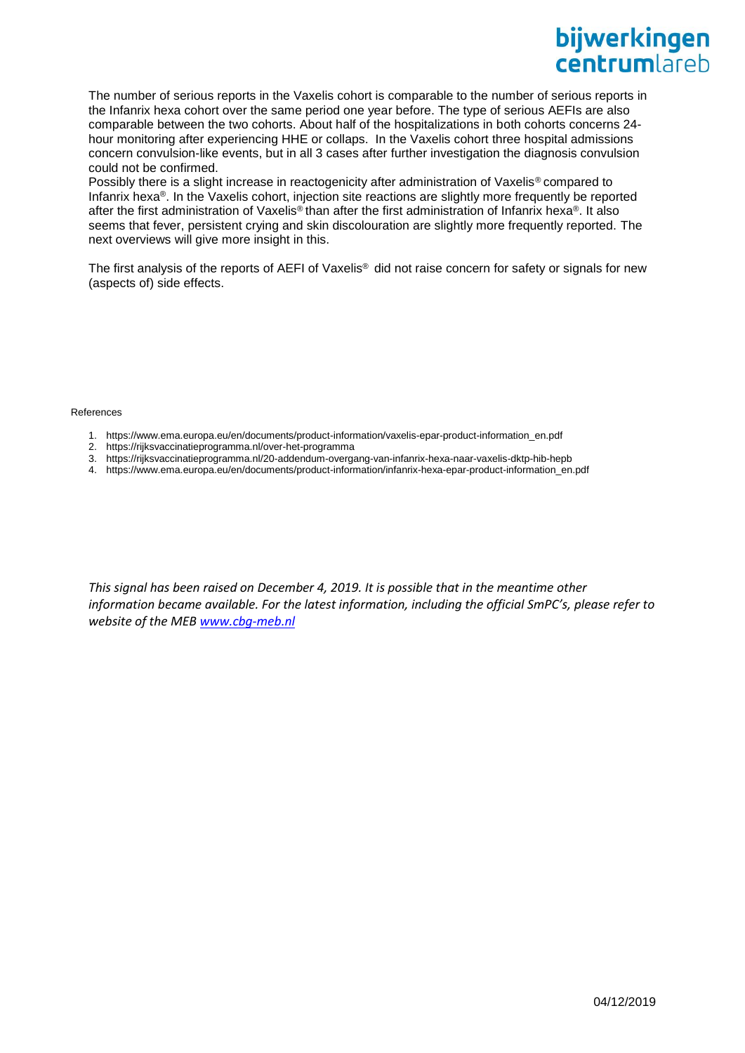## bijwerkingen **centrum** areh

The number of serious reports in the Vaxelis cohort is comparable to the number of serious reports in the Infanrix hexa cohort over the same period one year before. The type of serious AEFIs are also comparable between the two cohorts. About half of the hospitalizations in both cohorts concerns 24 hour monitoring after experiencing HHE or collaps. In the Vaxelis cohort three hospital admissions concern convulsion-like events, but in all 3 cases after further investigation the diagnosis convulsion could not be confirmed.

Possibly there is a slight increase in reactogenicity after administration of Vaxelis<sup>®</sup> compared to Infanrix hexa®. In the Vaxelis cohort, injection site reactions are slightly more frequently be reported after the first administration of Vaxelis® than after the first administration of Infanrix hexa®. It also seems that fever, persistent crying and skin discolouration are slightly more frequently reported. The next overviews will give more insight in this.

The first analysis of the reports of AEFI of Vaxelis® did not raise concern for safety or signals for new (aspects of) side effects.

#### References

- 1. https://www.ema.europa.eu/en/documents/product-information/vaxelis-epar-product-information\_en.pdf
- 2. https://rijksvaccinatieprogramma.nl/over-het-programma
- 3. <https://rijksvaccinatieprogramma.nl/20-addendum-overgang-van-infanrix-hexa-naar-vaxelis-dktp-hib-hepb>
- 4. https://www.ema.europa.eu/en/documents/product-information/infanrix-hexa-epar-product-information\_en.pdf

*This signal has been raised on December 4, 2019. It is possible that in the meantime other information became available. For the latest information, including the official SmPC's, please refer to website of the ME[B www.cbg-meb.nl](http://www.cbg-meb.nl/)*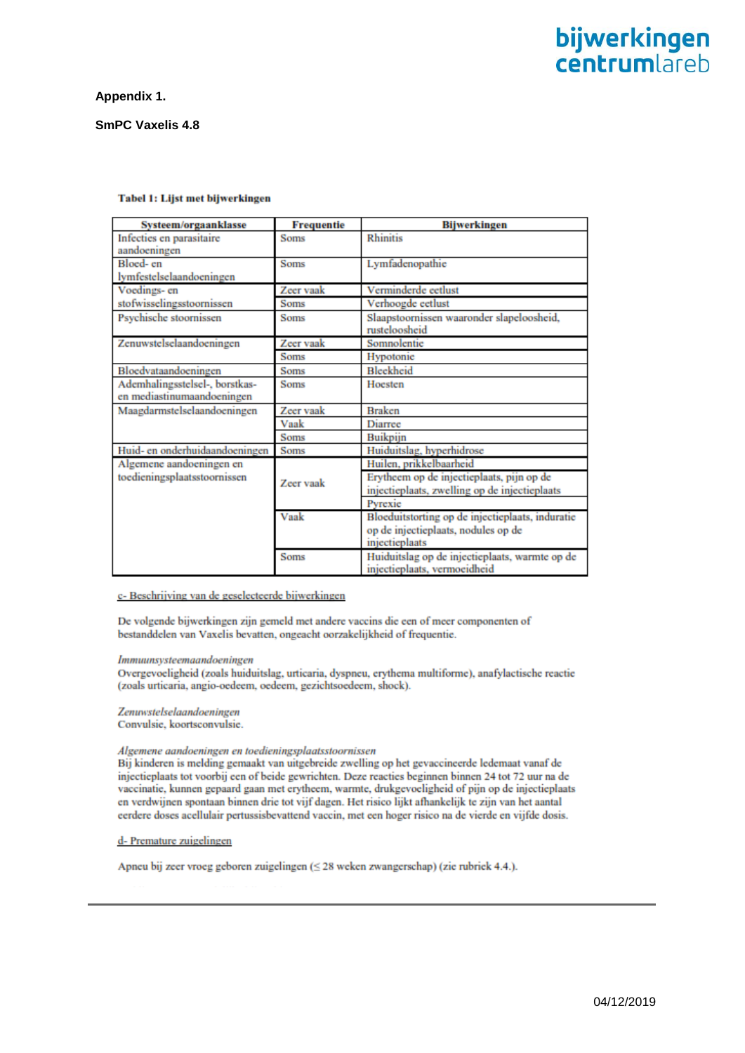## **Appendix 1.**

## **SmPC Vaxelis 4.8**

| Systeem/orgaanklasse                                         | <b>Frequentie</b> | <b>Bijwerkingen</b>                                                                                       |
|--------------------------------------------------------------|-------------------|-----------------------------------------------------------------------------------------------------------|
| Infecties en parasitaire<br>aandoeningen                     | <b>Soms</b>       | <b>Rhinitis</b>                                                                                           |
| Bloed-en                                                     | <b>Soms</b>       | Lymfadenopathie                                                                                           |
| lymfestelselaandoeningen                                     |                   |                                                                                                           |
| Voedings- en                                                 | Zeer vaak         | Verminderde eetlust                                                                                       |
| stofwisselingsstoornissen                                    | <b>Soms</b>       | Verhoogde eetlust                                                                                         |
| Psychische stoornissen                                       | <b>Soms</b>       | Slaapstoornissen waaronder slapeloosheid,<br>rusteloosheid                                                |
| Zenuwstelselaandoeningen                                     | Zeer vaak         | Somnolentie                                                                                               |
|                                                              | <b>Soms</b>       | Hypotonic                                                                                                 |
| Bloedvataandoeningen                                         | <b>Soms</b>       | Bleekheid                                                                                                 |
| Ademhalingsstelsel-, borstkas-<br>en mediastinumaandoeningen | Soms              | Hoesten                                                                                                   |
| Maagdarmstelselaandoeningen                                  | Zeer vaak         | <b>Braken</b>                                                                                             |
|                                                              | Vaak              | Diarree                                                                                                   |
|                                                              | <b>Soms</b>       | Buikpijn                                                                                                  |
| Huid- en onderhuidaandoeningen                               | Soms              | Huiduitslag, hyperhidrose                                                                                 |
| Algemene aandoeningen en                                     |                   | Huilen, prikkelbaarheid                                                                                   |
| toedieningsplaatsstoornissen                                 | Zeer vaak         | Erytheem op de injectieplaats, pijn op de<br>injectieplaats, zwelling op de injectieplaats                |
|                                                              |                   | Pyrexie                                                                                                   |
|                                                              | Vaak              | Bloeduitstorting op de injectieplaats, induratie<br>op de injectieplaats, nodules op de<br>injectieplaats |
|                                                              | Soms              | Huiduitslag op de injectieplaats, warmte op de<br>injectieplaats, vermoeidheid                            |

#### Tabel 1: Lijst met bijwerkingen

## c- Beschrijving van de geselecteerde bijwerkingen

De volgende bijwerkingen zijn gemeld met andere vaccins die een of meer componenten of bestanddelen van Vaxelis bevatten, ongeacht oorzakelijkheid of frequentie.

#### Immuunsysteemaandoeningen

Overgevoeligheid (zoals huiduitslag, urticaria, dyspneu, erythema multiforme), anafylactische reactie (zoals urticaria, angio-oedeem, oedeem, gezichtsoedeem, shock).

## Zenuwstelselaandoeningen

Convulsie, koortsconvulsie.

#### Algemene aandoeningen en toedieningsplaatsstoornissen

Bij kinderen is melding gemaakt van uitgebreide zwelling op het gevaccineerde ledemaat vanaf de injectieplaats tot voorbij een of beide gewrichten. Deze reacties beginnen binnen 24 tot 72 uur na de vaccinatie, kunnen gepaard gaan met erytheem, warmte, drukgevoeligheid of pijn op de injectieplaats en verdwijnen spontaan binnen drie tot vijf dagen. Het risico lijkt afhankelijk te zijn van het aantal eerdere doses acellulair pertussisbevattend vaccin, met een hoger risico na de vierde en vijfde dosis.

## d- Premature zuigelingen

Apneu bij zeer vroeg geboren zuigelingen (≤ 28 weken zwangerschap) (zie rubriek 4.4.).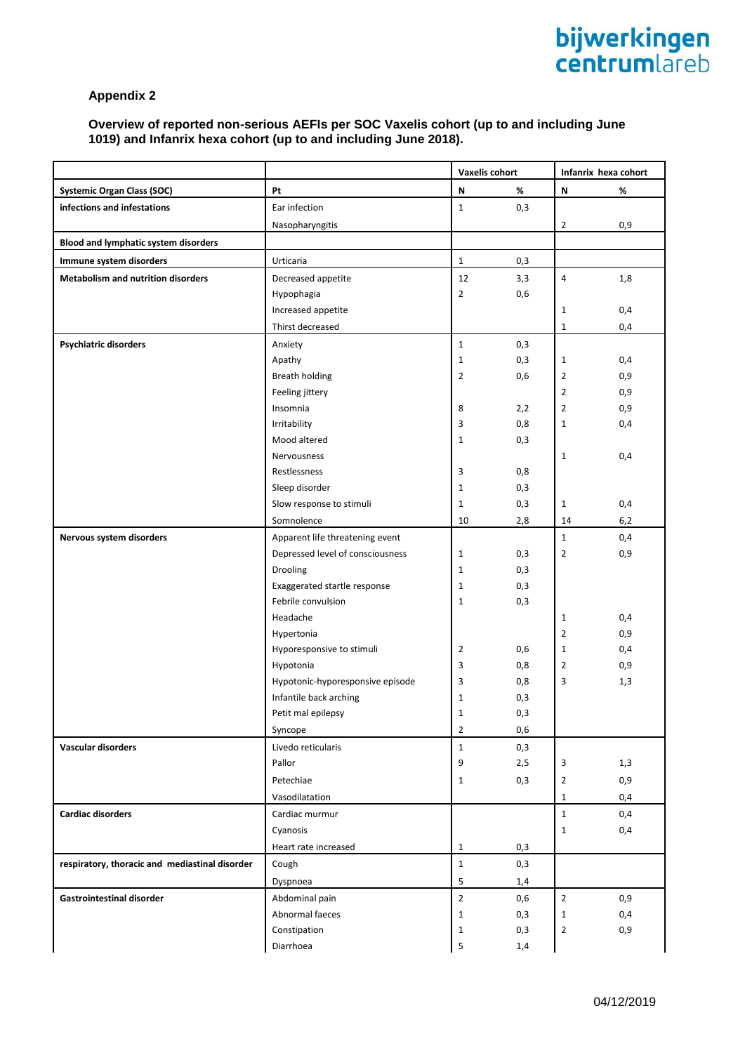## **Overview of reported non-serious AEFIs per SOC Vaxelis cohort (up to and including June 1019) and Infanrix hexa cohort (up to and including June 2018).**

|                                                |                                                    |                | <b>Vaxelis cohort</b> |                           | Infanrix hexa cohort |  |
|------------------------------------------------|----------------------------------------------------|----------------|-----------------------|---------------------------|----------------------|--|
| <b>Systemic Organ Class (SOC)</b>              | Pt                                                 | N              | %                     | $\boldsymbol{\mathsf{N}}$ | $\%$                 |  |
| infections and infestations                    | Ear infection                                      | $\mathbf 1$    | 0,3                   |                           |                      |  |
|                                                | Nasopharyngitis                                    |                |                       | $\overline{2}$            | 0,9                  |  |
| Blood and lymphatic system disorders           |                                                    |                |                       |                           |                      |  |
| Immune system disorders                        | Urticaria                                          | $\mathbf{1}$   | 0,3                   |                           |                      |  |
| <b>Metabolism and nutrition disorders</b>      | Decreased appetite                                 | 12             | 3,3                   | $\overline{\mathbf{4}}$   | 1,8                  |  |
|                                                | Hypophagia                                         | $\overline{2}$ | 0,6                   |                           |                      |  |
|                                                | Increased appetite                                 |                |                       | $\mathbf{1}$              | 0,4                  |  |
|                                                | Thirst decreased                                   |                |                       | $\mathbf{1}$              | 0,4                  |  |
| <b>Psychiatric disorders</b>                   | Anxiety                                            | $\mathbf{1}$   | 0,3                   |                           |                      |  |
|                                                | Apathy                                             | $\mathbf 1$    | 0,3                   | $\mathbf{1}$              | 0,4                  |  |
|                                                | Breath holding                                     | $\overline{2}$ | 0,6                   | $\overline{2}$            | 0,9                  |  |
|                                                | Feeling jittery                                    |                |                       | $\overline{2}$            | 0,9                  |  |
|                                                | Insomnia                                           | 8              | 2,2                   | $\overline{2}$            | 0,9                  |  |
|                                                | Irritability                                       | 3              | 0,8                   | $\mathbf{1}$              | 0,4                  |  |
|                                                | Mood altered                                       | $\mathbf{1}$   | 0,3                   |                           |                      |  |
|                                                | Nervousness                                        |                |                       | $\mathbf 1$               | 0,4                  |  |
|                                                | Restlessness                                       | 3              | 0,8                   |                           |                      |  |
|                                                | Sleep disorder                                     | $\mathbf{1}$   | 0,3                   |                           |                      |  |
|                                                | Slow response to stimuli                           | $\mathbf 1$    | 0,3                   | $\mathbf{1}$              | 0,4                  |  |
|                                                | Somnolence                                         | 10             | 2,8                   | 14                        | 6,2                  |  |
| Nervous system disorders                       | Apparent life threatening event                    |                |                       | $\mathbf 1$               | 0,4                  |  |
|                                                | Depressed level of consciousness                   | $\mathbf{1}$   | 0,3                   | 2                         | 0,9                  |  |
|                                                | Drooling                                           | $\mathbf{1}$   | 0,3                   |                           |                      |  |
|                                                | Exaggerated startle response<br>Febrile convulsion | $\mathbf{1}$   | 0,3                   |                           |                      |  |
|                                                | Headache                                           | $\mathbf{1}$   | 0,3                   | $\mathbf{1}$              | 0,4                  |  |
|                                                | Hypertonia                                         |                |                       | $\overline{2}$            | 0,9                  |  |
|                                                | Hyporesponsive to stimuli                          | $\overline{2}$ | 0,6                   | $\mathbf{1}$              | 0,4                  |  |
|                                                | Hypotonia                                          | 3              | 0,8                   | $\overline{2}$            | 0,9                  |  |
|                                                | Hypotonic-hyporesponsive episode                   | 3              | 0,8                   | 3                         | 1,3                  |  |
|                                                | Infantile back arching                             | $1\,$          | 0,3                   |                           |                      |  |
|                                                | Petit mal epilepsy                                 | $\mathbf 1$    | 0,3                   |                           |                      |  |
|                                                | Syncope                                            | $\overline{2}$ | 0,6                   |                           |                      |  |
| <b>Vascular disorders</b>                      | Livedo reticularis                                 | $\mathbf 1$    | 0,3                   |                           |                      |  |
|                                                | Pallor                                             | 9              | 2,5                   | 3                         | 1,3                  |  |
|                                                | Petechiae                                          | $\mathbf 1$    | 0,3                   | $\overline{2}$            | 0,9                  |  |
|                                                | Vasodilatation                                     |                |                       | 1                         | 0,4                  |  |
| <b>Cardiac disorders</b>                       | Cardiac murmur                                     |                |                       | $\mathbf{1}$              | 0,4                  |  |
|                                                | Cyanosis                                           |                |                       | $\mathbf{1}$              | 0,4                  |  |
|                                                | Heart rate increased                               | $\mathbf{1}$   | 0,3                   |                           |                      |  |
| respiratory, thoracic and mediastinal disorder | Cough                                              | $\mathbf{1}$   | 0,3                   |                           |                      |  |
|                                                | Dyspnoea                                           | 5              | 1,4                   |                           |                      |  |
| <b>Gastrointestinal disorder</b>               | Abdominal pain                                     | $\overline{2}$ | 0,6                   | $\overline{2}$            | 0,9                  |  |
|                                                | Abnormal faeces                                    | $\mathbf 1$    | 0,3                   | $\mathbf{1}$              | 0,4                  |  |
|                                                | Constipation                                       | $\mathbf 1$    | 0,3                   | $\overline{2}$            | 0,9                  |  |
|                                                | Diarrhoea                                          | 5              | 1,4                   |                           |                      |  |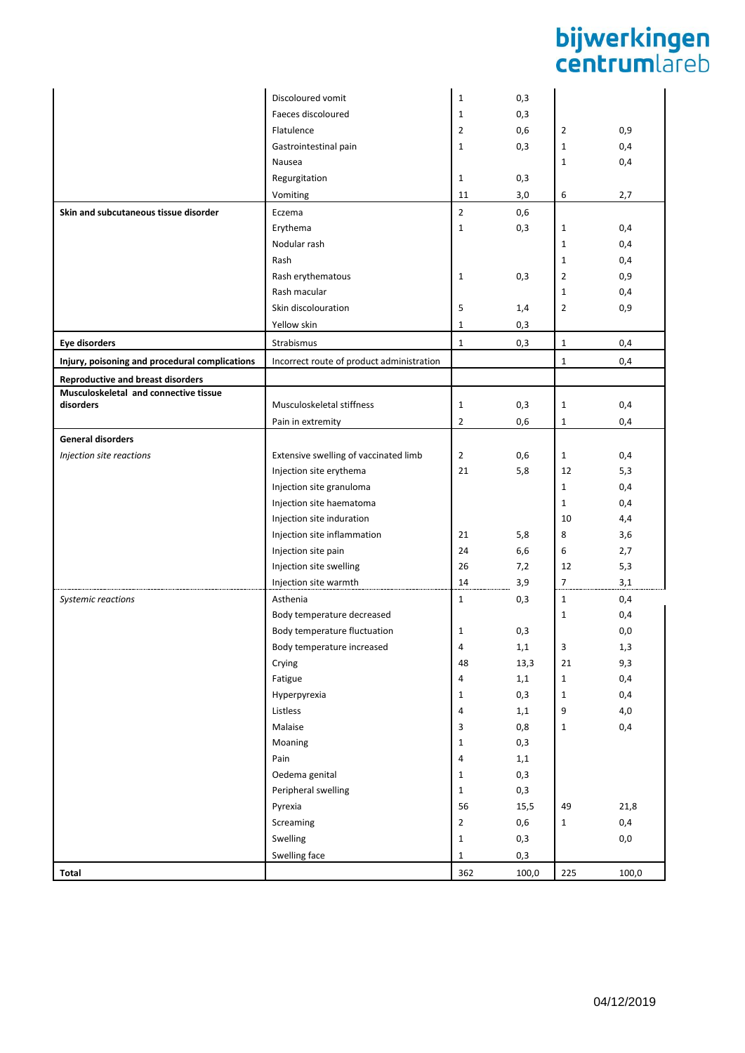# **bijwerkingen**<br>centrumlareb

|                                                | Discoloured vomit                         | $\mathbf{1}$   | 0,3        |                |          |
|------------------------------------------------|-------------------------------------------|----------------|------------|----------------|----------|
|                                                | Faeces discoloured                        | $\mathbf{1}$   | 0,3        |                |          |
|                                                | Flatulence                                | $\overline{2}$ | 0,6        | $\overline{2}$ | 0,9      |
|                                                | Gastrointestinal pain                     | $\mathbf{1}$   | 0,3        | $\mathbf{1}$   | 0,4      |
|                                                | Nausea                                    |                |            | 1              | 0,4      |
|                                                | Regurgitation                             | $\mathbf{1}$   | 0,3        |                |          |
|                                                | Vomiting                                  | 11             | 3,0        | 6              | 2,7      |
| Skin and subcutaneous tissue disorder          | Eczema                                    | $\mathbf 2$    | 0,6        |                |          |
|                                                | Erythema                                  | $\mathbf 1$    | 0,3        | $\mathbf{1}$   | 0,4      |
|                                                | Nodular rash                              |                |            | 1              | 0,4      |
|                                                | Rash                                      |                |            | $\mathbf{1}$   | 0,4      |
|                                                | Rash erythematous                         | $\mathbf{1}$   | 0,3        | $\overline{2}$ | 0,9      |
|                                                | Rash macular                              |                |            | $\mathbf{1}$   | 0,4      |
|                                                | Skin discolouration                       | 5              | 1,4        | $\overline{2}$ | 0,9      |
|                                                | Yellow skin                               | $\mathbf{1}$   | 0,3        |                |          |
| Eye disorders                                  | Strabismus                                | $\mathbf 1$    | 0,3        | $\mathbf{1}$   | 0,4      |
| Injury, poisoning and procedural complications | Incorrect route of product administration |                |            | 1              | 0,4      |
| <b>Reproductive and breast disorders</b>       |                                           |                |            |                |          |
| Musculoskeletal and connective tissue          |                                           |                |            |                |          |
| disorders                                      | Musculoskeletal stiffness                 | $\mathbf 1$    | 0,3        | $\mathbf{1}$   | 0,4      |
|                                                | Pain in extremity                         | $\overline{2}$ | 0,6        | $\mathbf{1}$   | 0,4      |
| <b>General disorders</b>                       |                                           |                |            |                |          |
| Injection site reactions                       | Extensive swelling of vaccinated limb     | $\overline{2}$ | 0,6        | $\mathbf{1}$   | 0,4      |
|                                                | Injection site erythema                   | 21             | 5,8        | 12             | 5,3      |
|                                                | Injection site granuloma                  |                |            | $\mathbf{1}$   | 0,4      |
|                                                | Injection site haematoma                  |                |            | $\mathbf{1}$   | 0,4      |
|                                                | Injection site induration                 |                |            | 10             | 4,4      |
|                                                | Injection site inflammation               | 21             | 5,8        | 8              | 3,6      |
|                                                | Injection site pain                       | 24             | 6,6        | 6              | 2,7      |
|                                                | Injection site swelling                   | 26             | 7,2        | 12             | 5,3      |
|                                                | Injection site warmth                     | 14             | 3,9        | 7              | 3,1      |
| Systemic reactions                             | Asthenia                                  | $\mathbf{1}$   | 0,3        | $\mathbf{1}$   | 0,4      |
|                                                | Body temperature decreased                |                |            | $\mathbf{1}$   | 0,4      |
|                                                | Body temperature fluctuation              | 1              | 0,3        |                | 0,0      |
|                                                | Body temperature increased                | 4              | $1,1$      | 3              | 1,3      |
|                                                | Crying                                    | 48             | 13,3       | 21             | 9,3      |
|                                                | Fatigue                                   | 4              | 1,1        | $\mathbf{1}$   | 0,4      |
|                                                | Hyperpyrexia                              | $\mathbf{1}$   | 0,3        | $\mathbf{1}$   | 0,4      |
|                                                | Listless<br>Malaise                       | 4<br>3         | 1,1        | 9              | $4,0$    |
|                                                | Moaning                                   | $\mathbf 1$    | 0,8<br>0,3 | $\mathbf{1}$   | 0,4      |
|                                                | Pain                                      | $\pmb{4}$      | 1,1        |                |          |
|                                                | Oedema genital                            | $\mathbf{1}$   | 0,3        |                |          |
|                                                | Peripheral swelling                       | $\mathbf 1$    | 0,3        |                |          |
|                                                | Pyrexia                                   | 56             | 15,5       | 49             | 21,8     |
|                                                | Screaming                                 | $\mathbf 2$    | 0,6        | $\mathbf{1}$   | 0,4      |
|                                                | Swelling                                  | $\mathbf 1$    | 0,3        |                | $_{0,0}$ |
|                                                | Swelling face                             | $\mathbf 1$    | 0,3        |                |          |
| Total                                          |                                           | 362            | 100,0      | 225            | 100,0    |
|                                                |                                           |                |            |                |          |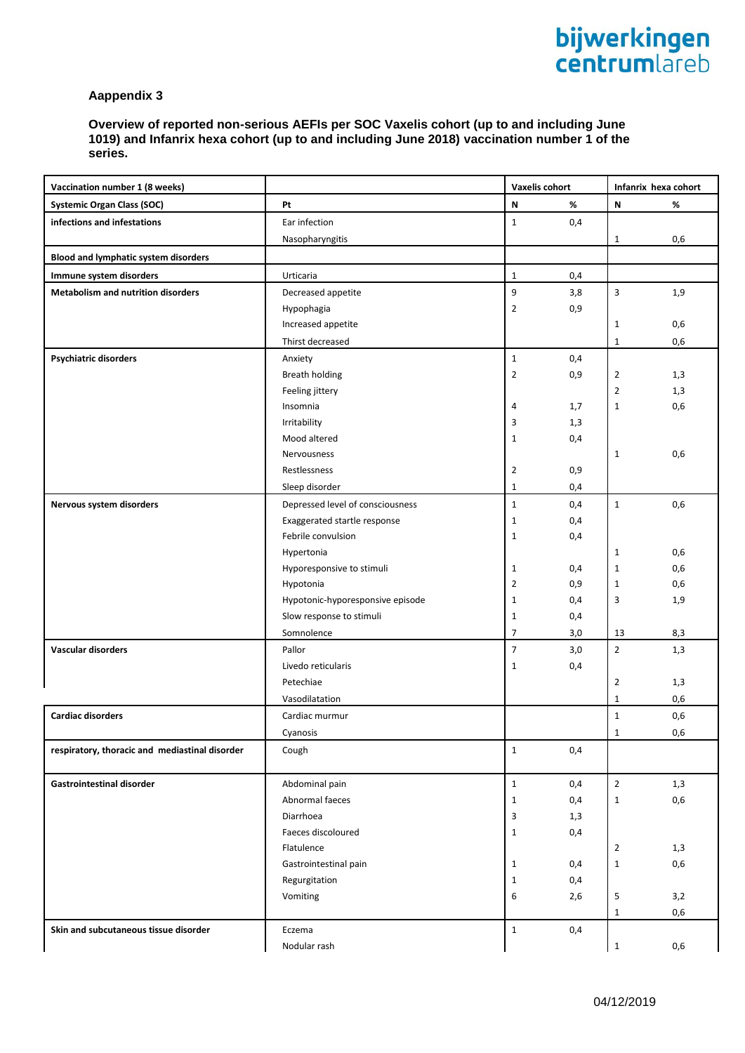**Overview of reported non-serious AEFIs per SOC Vaxelis cohort (up to and including June 1019) and Infanrix hexa cohort (up to and including June 2018) vaccination number 1 of the series.**

| Vaccination number 1 (8 weeks)                 |                                  |                  | <b>Vaxelis cohort</b> |                | Infanrix hexa cohort |
|------------------------------------------------|----------------------------------|------------------|-----------------------|----------------|----------------------|
| <b>Systemic Organ Class (SOC)</b>              | Pt                               | N                | %                     | ${\sf N}$      | $\%$                 |
| infections and infestations                    | Ear infection                    | $\mathbf{1}$     | 0,4                   |                |                      |
|                                                | Nasopharyngitis                  |                  |                       | $\mathbf{1}$   | 0,6                  |
| Blood and lymphatic system disorders           |                                  |                  |                       |                |                      |
| Immune system disorders                        | Urticaria                        | $\mathbf{1}$     | 0,4                   |                |                      |
| <b>Metabolism and nutrition disorders</b>      | Decreased appetite               | 9                | 3,8                   | 3              | 1,9                  |
|                                                | Hypophagia                       | $\overline{2}$   | 0,9                   |                |                      |
|                                                | Increased appetite               |                  |                       | $\mathbf{1}$   | 0,6                  |
|                                                | Thirst decreased                 |                  |                       | $\mathbf{1}$   | 0,6                  |
| <b>Psychiatric disorders</b>                   | Anxiety                          | $\mathbf 1$      | 0,4                   |                |                      |
|                                                | <b>Breath holding</b>            | $\overline{2}$   | 0,9                   | $\overline{2}$ | 1,3                  |
|                                                | Feeling jittery                  |                  |                       | $\overline{2}$ | 1,3                  |
|                                                | Insomnia                         | 4                | 1,7                   | $\mathbf{1}$   | 0,6                  |
|                                                | Irritability                     | 3                | 1,3                   |                |                      |
|                                                | Mood altered                     | $\mathbf{1}$     | 0,4                   |                |                      |
|                                                | Nervousness                      |                  |                       | $\mathbf{1}$   | 0,6                  |
|                                                | Restlessness                     | $\overline{2}$   | 0,9                   |                |                      |
|                                                | Sleep disorder                   | $\mathbf{1}$     | 0,4                   |                |                      |
| Nervous system disorders                       | Depressed level of consciousness | $\mathbf{1}$     | 0,4                   | $\mathbf{1}$   | 0,6                  |
|                                                | Exaggerated startle response     | $\mathbf{1}$     | 0,4                   |                |                      |
|                                                | Febrile convulsion               | $\mathbf{1}$     | 0,4                   |                |                      |
|                                                | Hypertonia                       |                  |                       | $\mathbf{1}$   | 0,6                  |
|                                                | Hyporesponsive to stimuli        | $\mathbf{1}$     | 0,4                   | $\mathbf{1}$   | 0,6                  |
|                                                | Hypotonia                        | $\overline{2}$   | 0,9                   | $\mathbf 1$    | 0,6                  |
|                                                | Hypotonic-hyporesponsive episode | $\mathbf{1}$     | 0,4                   | 3              | 1,9                  |
|                                                | Slow response to stimuli         | $\mathbf{1}$     | 0,4                   |                |                      |
|                                                | Somnolence                       | $\overline{7}$   | 3,0                   | 13             | 8,3                  |
| Vascular disorders                             | Pallor                           | $\boldsymbol{7}$ | 3,0                   | $\overline{2}$ | 1,3                  |
|                                                | Livedo reticularis               | $\mathbf{1}$     | 0,4                   |                |                      |
|                                                | Petechiae                        |                  |                       | $\overline{2}$ | 1,3                  |
|                                                | Vasodilatation                   |                  |                       | $\mathbf{1}$   | 0,6                  |
| <b>Cardiac disorders</b>                       | Cardiac murmur                   |                  |                       | $\mathbf{1}$   | 0,6                  |
|                                                | Cyanosis                         |                  |                       | $\mathbf 1$    | 0,6                  |
| respiratory, thoracic and mediastinal disorder | Cough                            | $\mathbf{1}$     | 0,4                   |                |                      |
|                                                |                                  |                  |                       |                |                      |
| <b>Gastrointestinal disorder</b>               | Abdominal pain                   | $\mathbf{1}$     | 0,4                   | $\overline{2}$ | 1,3                  |
|                                                | Abnormal faeces                  | $\mathbf{1}$     | 0,4                   | $\mathbf 1$    | 0,6                  |
|                                                | Diarrhoea                        | 3                | 1,3                   |                |                      |
|                                                | Faeces discoloured               | $\mathbf{1}$     | 0,4                   |                |                      |
|                                                | Flatulence                       |                  |                       | $\overline{2}$ | 1,3                  |
|                                                | Gastrointestinal pain            | $\mathbf{1}$     | 0,4                   | $\mathbf 1$    | 0,6                  |
|                                                | Regurgitation                    | $\mathbf{1}$     | 0,4                   |                |                      |
|                                                | Vomiting                         | 6                | 2,6                   | 5              | 3,2                  |
|                                                |                                  |                  |                       | $\mathbf{1}$   | 0,6                  |
| Skin and subcutaneous tissue disorder          | Eczema                           | $\mathbf{1}$     | 0,4                   |                |                      |
|                                                | Nodular rash                     |                  |                       | $\mathbf 1$    | 0,6                  |
|                                                |                                  |                  |                       |                |                      |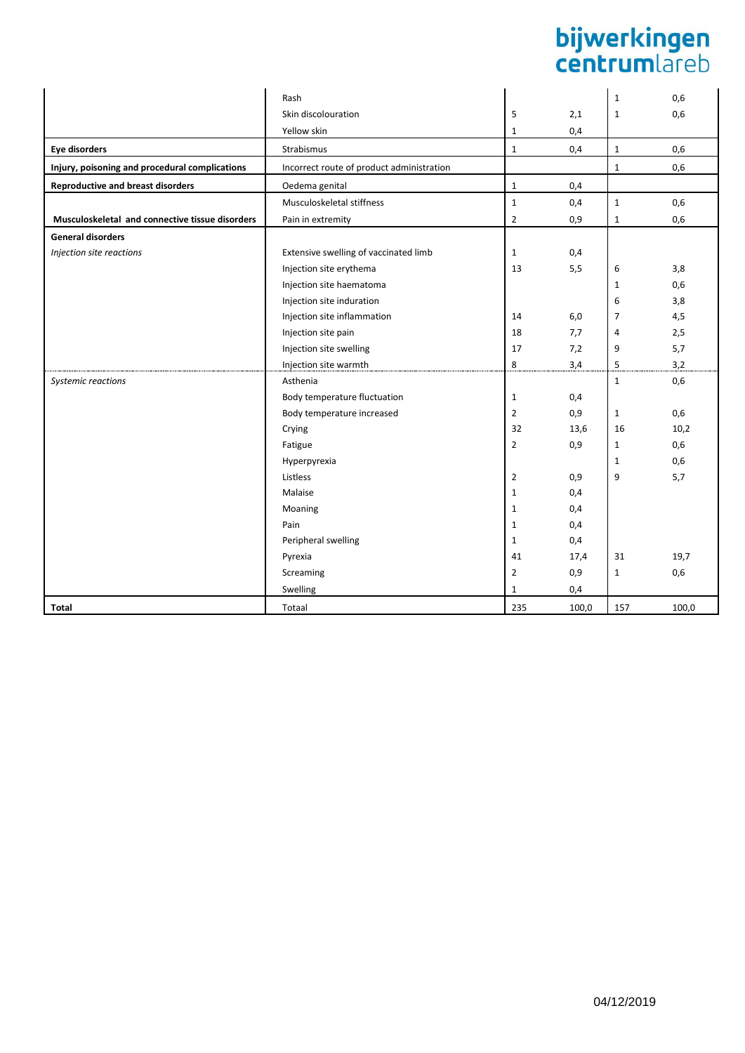# **bijwerkingen**<br>centrumlareb

|                                                 | Rash                                      |                |       | $\mathbf{1}$   | 0,6   |
|-------------------------------------------------|-------------------------------------------|----------------|-------|----------------|-------|
|                                                 | Skin discolouration                       | 5              | 2,1   | $\mathbf 1$    | 0,6   |
|                                                 | Yellow skin                               | $\mathbf{1}$   | 0,4   |                |       |
| <b>Eye disorders</b>                            | Strabismus                                | $\mathbf 1$    | 0,4   | $\mathbf 1$    | 0,6   |
| Injury, poisoning and procedural complications  | Incorrect route of product administration |                |       | $\mathbf{1}$   | 0,6   |
| <b>Reproductive and breast disorders</b>        | Oedema genital                            | $\mathbf 1$    | 0,4   |                |       |
|                                                 | Musculoskeletal stiffness                 | $\mathbf 1$    | 0,4   | $\mathbf 1$    | 0,6   |
| Musculoskeletal and connective tissue disorders | Pain in extremity                         | $\overline{2}$ | 0,9   | $\mathbf{1}$   | 0,6   |
| <b>General disorders</b>                        |                                           |                |       |                |       |
| Injection site reactions                        | Extensive swelling of vaccinated limb     | $\mathbf{1}$   | 0,4   |                |       |
|                                                 | Injection site erythema                   | 13             | 5,5   | 6              | 3,8   |
|                                                 | Injection site haematoma                  |                |       | $\mathbf{1}$   | 0,6   |
|                                                 | Injection site induration                 |                |       | 6              | 3,8   |
|                                                 | Injection site inflammation               | 14             | 6,0   | $\overline{7}$ | 4,5   |
|                                                 | Injection site pain                       | 18             | 7,7   | 4              | 2,5   |
|                                                 | Injection site swelling                   | 17             | 7,2   | 9              | 5,7   |
|                                                 | Injection site warmth                     | 8              | 3,4   | 5              | 3,2   |
| Systemic reactions                              | Asthenia                                  |                |       | $\mathbf{1}$   | 0,6   |
|                                                 | Body temperature fluctuation              | $\mathbf{1}$   | 0,4   |                |       |
|                                                 | Body temperature increased                | $\overline{2}$ | 0,9   | $\mathbf{1}$   | 0,6   |
|                                                 | Crying                                    | 32             | 13,6  | 16             | 10,2  |
|                                                 | Fatigue                                   | $\overline{2}$ | 0,9   | $\mathbf{1}$   | 0,6   |
|                                                 | Hyperpyrexia                              |                |       | $\mathbf{1}$   | 0,6   |
|                                                 | Listless                                  | $\overline{2}$ | 0,9   | 9              | 5,7   |
|                                                 | Malaise                                   | $\mathbf{1}$   | 0,4   |                |       |
|                                                 | Moaning                                   | $\mathbf{1}$   | 0,4   |                |       |
|                                                 | Pain                                      | $\mathbf{1}$   | 0,4   |                |       |
|                                                 | Peripheral swelling                       | $\mathbf{1}$   | 0,4   |                |       |
|                                                 | Pyrexia                                   | 41             | 17,4  | 31             | 19,7  |
|                                                 | Screaming                                 | $\overline{2}$ | 0,9   | 1              | 0,6   |
|                                                 | Swelling                                  | $\mathbf{1}$   | 0,4   |                |       |
| <b>Total</b>                                    | Totaal                                    | 235            | 100,0 | 157            | 100,0 |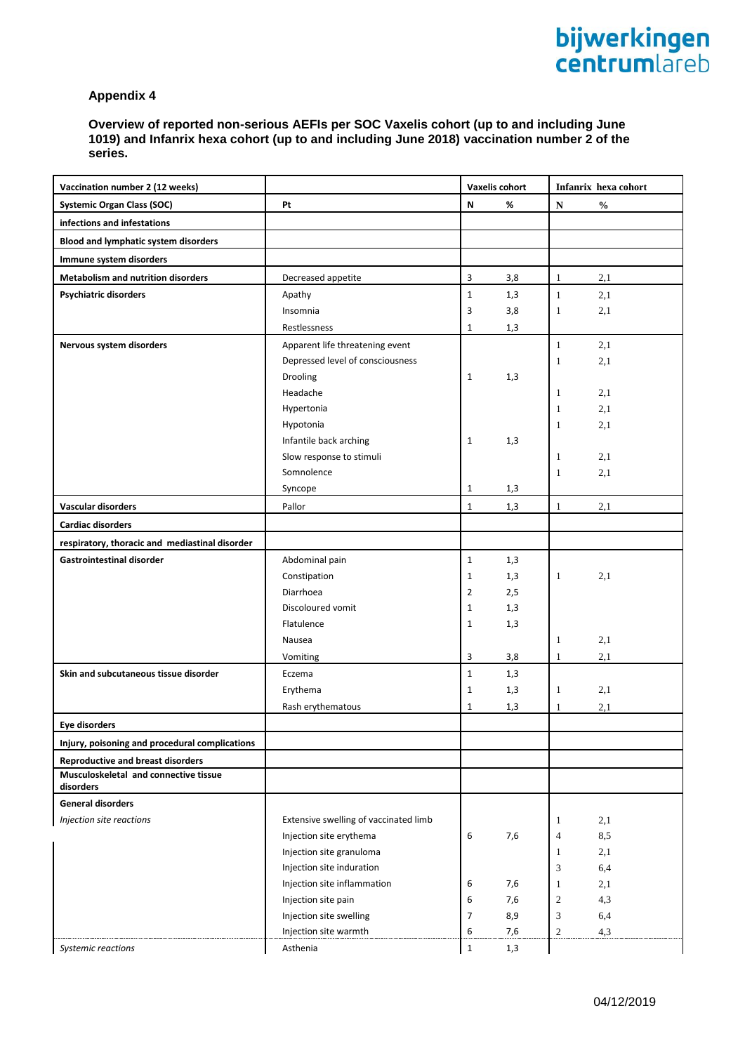**Overview of reported non-serious AEFIs per SOC Vaxelis cohort (up to and including June 1019) and Infanrix hexa cohort (up to and including June 2018) vaccination number 2 of the series.**

| Vaccination number 2 (12 weeks)                    |                                       |                | Vaxelis cohort |                  | Infanrix hexa cohort |
|----------------------------------------------------|---------------------------------------|----------------|----------------|------------------|----------------------|
| <b>Systemic Organ Class (SOC)</b>                  | Pt                                    | N              | %              | ${\bf N}$        | $\mathbf{O}_0$       |
| infections and infestations                        |                                       |                |                |                  |                      |
| <b>Blood and lymphatic system disorders</b>        |                                       |                |                |                  |                      |
| Immune system disorders                            |                                       |                |                |                  |                      |
| <b>Metabolism and nutrition disorders</b>          | Decreased appetite                    | 3              | 3,8            |                  | 2,1                  |
|                                                    |                                       |                |                | 1                |                      |
| <b>Psychiatric disorders</b>                       | Apathy                                | $\mathbf 1$    | 1,3            | $\mathbf{1}$     | 2,1                  |
|                                                    | Insomnia                              | 3              | 3,8            | 1                | 2,1                  |
|                                                    | Restlessness                          | $\mathbf{1}$   | 1,3            |                  |                      |
| Nervous system disorders                           | Apparent life threatening event       |                |                | $\mathbf{1}$     | 2,1                  |
|                                                    | Depressed level of consciousness      |                |                | 1                | 2,1                  |
|                                                    | Drooling                              | $\mathbf{1}$   | 1,3            |                  |                      |
|                                                    | Headache                              |                |                | $\mathbf{1}$     | 2,1                  |
|                                                    | Hypertonia                            |                |                | 1                | 2,1                  |
|                                                    | Hypotonia                             |                |                | 1                | 2,1                  |
|                                                    | Infantile back arching                | 1              | 1,3            |                  |                      |
|                                                    | Slow response to stimuli              |                |                | 1                | 2,1                  |
|                                                    | Somnolence                            |                |                | $\mathbf{1}$     | 2,1                  |
|                                                    | Syncope                               | 1              | 1,3            |                  |                      |
| Vascular disorders                                 | Pallor                                | $\mathbf 1$    | 1,3            | $\mathbf{1}$     | 2,1                  |
| Cardiac disorders                                  |                                       |                |                |                  |                      |
| respiratory, thoracic and mediastinal disorder     |                                       |                |                |                  |                      |
| <b>Gastrointestinal disorder</b>                   | Abdominal pain                        | $\mathbf{1}$   | 1,3            |                  |                      |
|                                                    | Constipation                          | 1              | 1,3            | 1                | 2,1                  |
|                                                    | Diarrhoea                             | $\overline{2}$ | 2,5            |                  |                      |
|                                                    | Discoloured vomit                     | $\mathbf{1}$   | 1,3            |                  |                      |
|                                                    | Flatulence                            | $\mathbf{1}$   | 1,3            |                  |                      |
|                                                    | Nausea                                |                |                | 1                | 2,1                  |
|                                                    | Vomiting                              | 3              | 3,8            | 1                | 2,1                  |
| Skin and subcutaneous tissue disorder              | Eczema                                | $\mathbf{1}$   | 1,3            |                  |                      |
|                                                    | Erythema                              | $\mathbf{1}$   | 1,3            | $\mathbf{1}$     | 2,1                  |
|                                                    | Rash erythematous                     | $\mathbf 1$    | 1,3            | 1                | 2,1                  |
| <b>Eye disorders</b>                               |                                       |                |                |                  |                      |
| Injury, poisoning and procedural complications     |                                       |                |                |                  |                      |
| <b>Reproductive and breast disorders</b>           |                                       |                |                |                  |                      |
| Musculoskeletal and connective tissue<br>disorders |                                       |                |                |                  |                      |
| <b>General disorders</b>                           |                                       |                |                |                  |                      |
| Injection site reactions                           | Extensive swelling of vaccinated limb |                |                | 1                | 2,1                  |
|                                                    | Injection site erythema               | 6              | 7,6            | $\overline{4}$   | 8,5                  |
|                                                    | Injection site granuloma              |                |                | 1                | 2,1                  |
|                                                    | Injection site induration             |                |                | 3                | 6,4                  |
|                                                    | Injection site inflammation           | 6              | 7,6            | 1                | 2,1                  |
|                                                    | Injection site pain                   | 6              | 7,6            | $\boldsymbol{2}$ | 4,3                  |
|                                                    | Injection site swelling               | $\overline{7}$ | 8,9            | 3                | 6,4                  |
|                                                    | Injection site warmth                 | 6              | 7,6            | $\overline{2}$   | 4,3                  |
| Systemic reactions                                 | Asthenia                              | $\mathbf 1$    | 1,3            |                  |                      |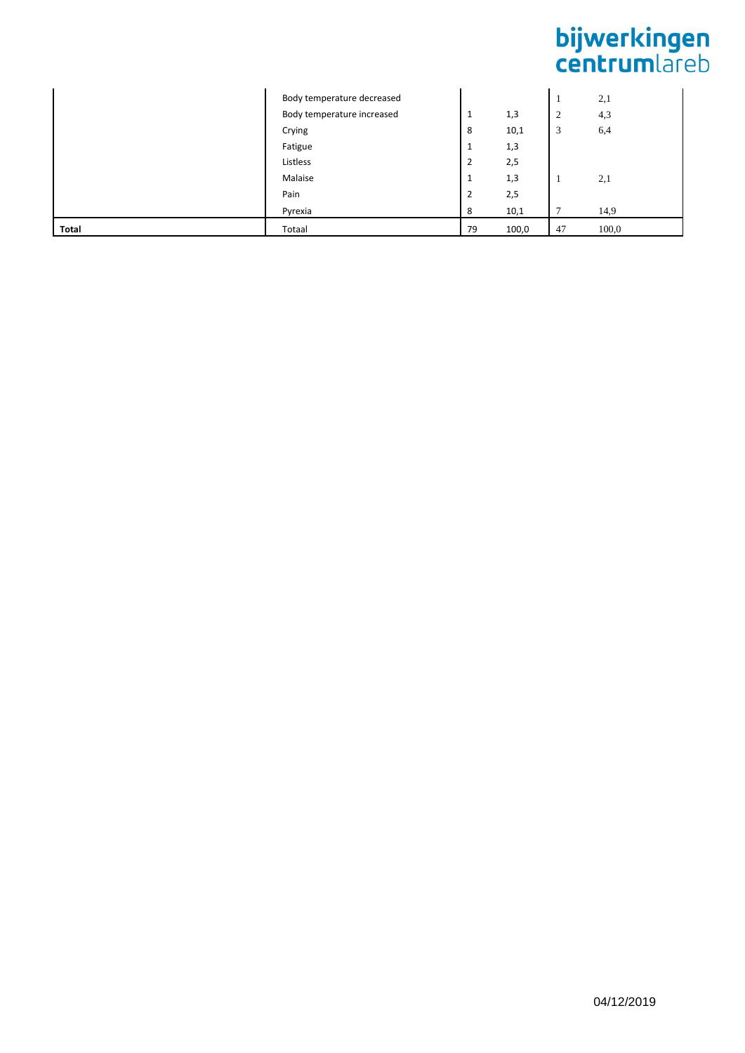# **bijwerkingen**<br>centrumlareb

|       | Body temperature decreased |                |       |    | 2,1   |
|-------|----------------------------|----------------|-------|----|-------|
|       | Body temperature increased | 1              | 1,3   | 2  | 4,3   |
|       | Crying                     | 8              | 10,1  | 3  | 6,4   |
|       | Fatigue                    | 1              | 1,3   |    |       |
|       | Listless                   | $\overline{2}$ | 2,5   |    |       |
|       | Malaise                    | 1              | 1,3   |    | 2,1   |
|       | Pain                       | $\overline{2}$ | 2,5   |    |       |
|       | Pyrexia                    | 8              | 10,1  | -  | 14,9  |
| Total | Totaal                     | 79             | 100,0 | 47 | 100,0 |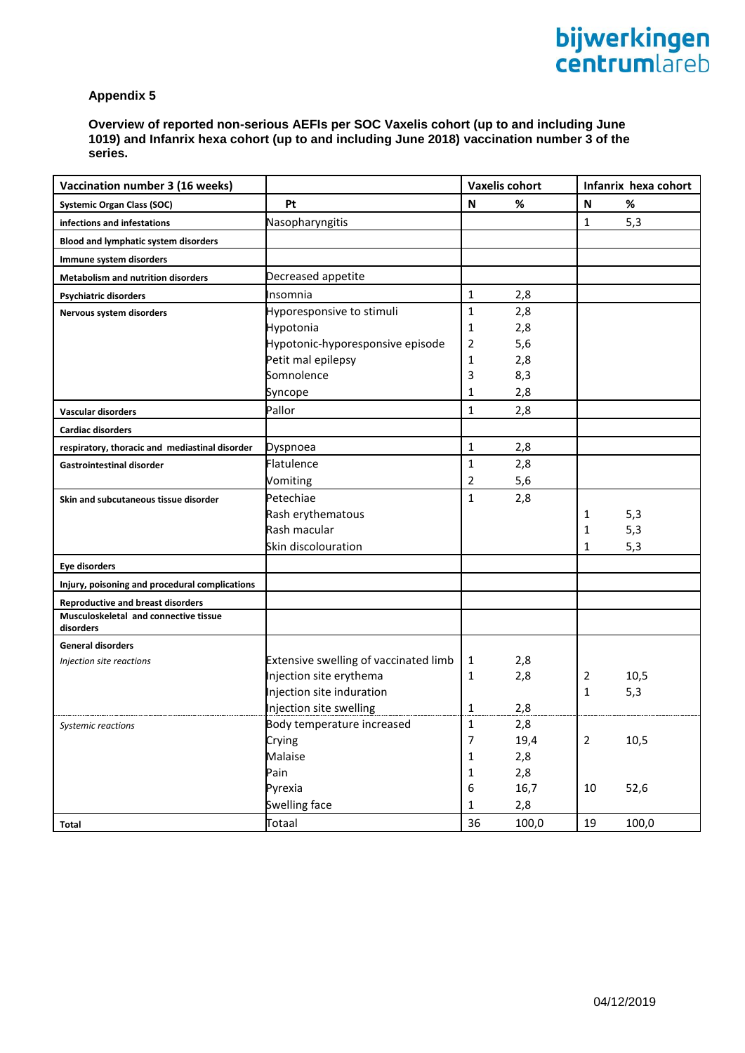**Overview of reported non-serious AEFIs per SOC Vaxelis cohort (up to and including June 1019) and Infanrix hexa cohort (up to and including June 2018) vaccination number 3 of the series.**

| Vaccination number 3 (16 weeks)                    |                                       | <b>Vaxelis cohort</b> |       |                | Infanrix hexa cohort |
|----------------------------------------------------|---------------------------------------|-----------------------|-------|----------------|----------------------|
| <b>Systemic Organ Class (SOC)</b>                  | Pt                                    | N                     | %     | $\mathsf N$    | %                    |
| infections and infestations                        | Nasopharyngitis                       |                       |       | 1              | 5,3                  |
| <b>Blood and lymphatic system disorders</b>        |                                       |                       |       |                |                      |
| Immune system disorders                            |                                       |                       |       |                |                      |
| <b>Metabolism and nutrition disorders</b>          | Decreased appetite                    |                       |       |                |                      |
| <b>Psychiatric disorders</b>                       | Insomnia                              | $\mathbf{1}$          | 2,8   |                |                      |
| Nervous system disorders                           | Hyporesponsive to stimuli             | $\mathbf{1}$          | 2,8   |                |                      |
|                                                    | Hypotonia                             | 1                     | 2,8   |                |                      |
|                                                    | Hypotonic-hyporesponsive episode      | 2                     | 5,6   |                |                      |
|                                                    | Petit mal epilepsy                    | $\mathbf{1}$          | 2,8   |                |                      |
|                                                    | Somnolence                            | 3                     | 8,3   |                |                      |
|                                                    | Syncope                               | 1                     | 2,8   |                |                      |
| Vascular disorders                                 | Pallor                                | $\mathbf{1}$          | 2,8   |                |                      |
| <b>Cardiac disorders</b>                           |                                       |                       |       |                |                      |
| respiratory, thoracic and mediastinal disorder     | Dyspnoea                              | $\mathbf 1$           | 2,8   |                |                      |
| Gastrointestinal disorder                          | <b>Flatulence</b>                     | $\mathbf{1}$          | 2,8   |                |                      |
|                                                    | Vomiting                              | $\overline{2}$        | 5,6   |                |                      |
| Skin and subcutaneous tissue disorder              | Petechiae                             | $\mathbf{1}$          | 2,8   |                |                      |
|                                                    | Rash erythematous                     |                       |       | 1              | 5,3                  |
|                                                    | Rash macular                          |                       |       | 1              | 5,3                  |
|                                                    | Skin discolouration                   |                       |       | 1              | 5,3                  |
| Eye disorders                                      |                                       |                       |       |                |                      |
| Injury, poisoning and procedural complications     |                                       |                       |       |                |                      |
| <b>Reproductive and breast disorders</b>           |                                       |                       |       |                |                      |
| Musculoskeletal and connective tissue<br>disorders |                                       |                       |       |                |                      |
| <b>General disorders</b>                           |                                       |                       |       |                |                      |
| Injection site reactions                           | Extensive swelling of vaccinated limb | 1                     | 2,8   |                |                      |
|                                                    | Injection site erythema               | 1                     | 2,8   | 2              | 10,5                 |
|                                                    | Injection site induration             |                       |       | 1              | 5,3                  |
|                                                    | Injection site swelling               | 1                     | 2,8   |                |                      |
| Systemic reactions                                 | Body temperature increased            | $\mathbf{1}$          | 2,8   |                |                      |
|                                                    | Crying                                | $\boldsymbol{7}$      | 19,4  | $\overline{2}$ | 10,5                 |
|                                                    | Malaise                               | $\mathbf 1$           | 2,8   |                |                      |
|                                                    | Pain                                  | $\mathbf 1$           | 2,8   |                |                      |
|                                                    | Pyrexia                               | 6                     | 16,7  | $10\,$         | 52,6                 |
|                                                    | Swelling face                         | $\mathbf 1$           | 2,8   |                |                      |
| <b>Total</b>                                       | Totaal                                | 36                    | 100,0 | $19\,$         | 100,0                |